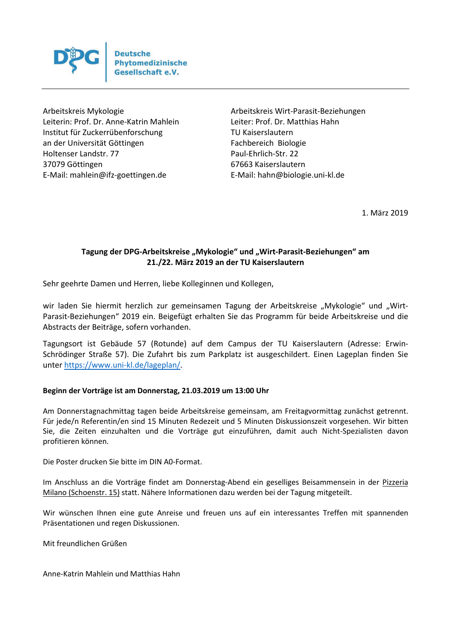

Arbeitskreis Mykologie Arbeitskreis Wirt-Parasit-Beziehungen Leiterin: Prof. Dr. Anne-Katrin Mahlein Leiter: Prof. Dr. Matthias Hahn Institut für Zuckerrübenforschung TU Kaiserslautern an der Universität Göttingen Fachbereich Biologie Holtenser Landstr. 77 Paul-Ehrlich-Str. 22 37079 Göttingen 67663 Kaiserslautern E-Mail: mahlein@ifz-goettingen.de E-Mail: hahn@biologie.uni-kl.de

1. März 2019

# Tagung der DPG-Arbeitskreise "Mykologie" und "Wirt-Parasit-Beziehungen" am **21./22. März 2019 an der TU Kaiserslautern**

Sehr geehrte Damen und Herren, liebe Kolleginnen und Kollegen,

wir laden Sie hiermit herzlich zur gemeinsamen Tagung der Arbeitskreise "Mykologie" und "Wirt-Parasit-Beziehungen" 2019 ein. Beigefügt erhalten Sie das Programm für beide Arbeitskreise und die Abstracts der Beiträge, sofern vorhanden.

Tagungsort ist Gebäude 57 (Rotunde) auf dem Campus der TU Kaiserslautern (Adresse: Erwin-Schrödinger Straße 57). Die Zufahrt bis zum Parkplatz ist ausgeschildert. Einen Lageplan finden Sie unter https://www.uni-kl.de/lageplan/.

### **Beginn der Vorträge ist am Donnerstag, 21.03.2019 um 13:00 Uhr**

Am Donnerstagnachmittag tagen beide Arbeitskreise gemeinsam, am Freitagvormittag zunächst getrennt. Für jede/n Referentin/en sind 15 Minuten Redezeit und 5 Minuten Diskussionszeit vorgesehen. Wir bitten Sie, die Zeiten einzuhalten und die Vorträge gut einzuführen, damit auch Nicht-Spezialisten davon profitieren können.

Die Poster drucken Sie bitte im DIN A0-Format.

Im Anschluss an die Vorträge findet am Donnerstag-Abend ein geselliges Beisammensein in der Pizzeria Milano (Schoenstr. 15) statt. Nähere Informationen dazu werden bei der Tagung mitgeteilt.

Wir wünschen Ihnen eine gute Anreise und freuen uns auf ein interessantes Treffen mit spannenden Präsentationen und regen Diskussionen.

Mit freundlichen Grüßen

Anne-Katrin Mahlein und Matthias Hahn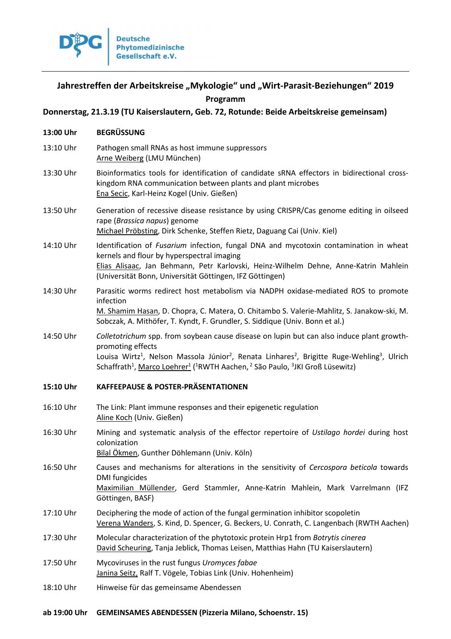

# Jahrestreffen der Arbeitskreise "Mykologie" und "Wirt-Parasit-Beziehungen" 2019 **Programm**

# **Donnerstag, 21.3.19 (TU Kaiserslautern, Geb. 72, Rotunde: Beide Arbeitskreise gemeinsam)**

| 13:00 Uhr | <b>BEGRÜSSUNG</b>                                                                                                                                                                                                                                                                                                                                                                                         |
|-----------|-----------------------------------------------------------------------------------------------------------------------------------------------------------------------------------------------------------------------------------------------------------------------------------------------------------------------------------------------------------------------------------------------------------|
| 13:10 Uhr | Pathogen small RNAs as host immune suppressors<br>Arne Weiberg (LMU München)                                                                                                                                                                                                                                                                                                                              |
| 13:30 Uhr | Bioinformatics tools for identification of candidate sRNA effectors in bidirectional cross-<br>kingdom RNA communication between plants and plant microbes<br>Ena Secic, Karl-Heinz Kogel (Univ. Gießen)                                                                                                                                                                                                  |
| 13:50 Uhr | Generation of recessive disease resistance by using CRISPR/Cas genome editing in oilseed<br>rape (Brassica napus) genome<br>Michael Pröbsting, Dirk Schenke, Steffen Rietz, Daguang Cai (Univ. Kiel)                                                                                                                                                                                                      |
| 14:10 Uhr | Identification of <i>Fusarium</i> infection, fungal DNA and mycotoxin contamination in wheat<br>kernels and flour by hyperspectral imaging<br>Elias Alisaac, Jan Behmann, Petr Karlovski, Heinz-Wilhelm Dehne, Anne-Katrin Mahlein<br>(Universität Bonn, Universität Göttingen, IFZ Göttingen)                                                                                                            |
| 14:30 Uhr | Parasitic worms redirect host metabolism via NADPH oxidase-mediated ROS to promote<br>infection<br>M. Shamim Hasan, D. Chopra, C. Matera, O. Chitambo S. Valerie-Mahlitz, S. Janakow-ski, M.<br>Sobczak, A. Mithöfer, T. Kyndt, F. Grundler, S. Siddique (Univ. Bonn et al.)                                                                                                                              |
| 14:50 Uhr | Colletotrichum spp. from soybean cause disease on lupin but can also induce plant growth-<br>promoting effects<br>Louisa Wirtz <sup>1</sup> , Nelson Massola Júnior <sup>2</sup> , Renata Linhares <sup>2</sup> , Brigitte Ruge-Wehling <sup>3</sup> , Ulrich<br>Schaffrath <sup>1</sup> , Marco Loehrer <sup>1</sup> ( <sup>1</sup> RWTH Aachen, <sup>2</sup> São Paulo, <sup>3</sup> JKI Groß Lüsewitz) |
| 15:10 Uhr | <b>KAFFEEPAUSE &amp; POSTER-PRÄSENTATIONEN</b>                                                                                                                                                                                                                                                                                                                                                            |
|           |                                                                                                                                                                                                                                                                                                                                                                                                           |
| 16:10 Uhr | The Link: Plant immune responses and their epigenetic regulation<br>Aline Koch (Univ. Gießen)                                                                                                                                                                                                                                                                                                             |
| 16:30 Uhr | Mining and systematic analysis of the effector repertoire of Ustilago hordei during host<br>colonization<br>Bilal Ökmen, Gunther Döhlemann (Univ. Köln)                                                                                                                                                                                                                                                   |
| 16:50 Uhr | Causes and mechanisms for alterations in the sensitivity of Cercospora beticola towards<br><b>DMI</b> fungicides<br>Maximilian Müllender, Gerd Stammler, Anne-Katrin Mahlein, Mark Varrelmann (IFZ<br>Göttingen, BASF)                                                                                                                                                                                    |
| 17:10 Uhr | Deciphering the mode of action of the fungal germination inhibitor scopoletin<br>Verena Wanders, S. Kind, D. Spencer, G. Beckers, U. Conrath, C. Langenbach (RWTH Aachen)                                                                                                                                                                                                                                 |
| 17:30 Uhr | Molecular characterization of the phytotoxic protein Hrp1 from Botrytis cinerea<br>David Scheuring, Tanja Jeblick, Thomas Leisen, Matthias Hahn (TU Kaiserslautern)                                                                                                                                                                                                                                       |
| 17:50 Uhr | Mycoviruses in the rust fungus Uromyces fabae<br>Janina Seitz, Ralf T. Vögele, Tobias Link (Univ. Hohenheim)                                                                                                                                                                                                                                                                                              |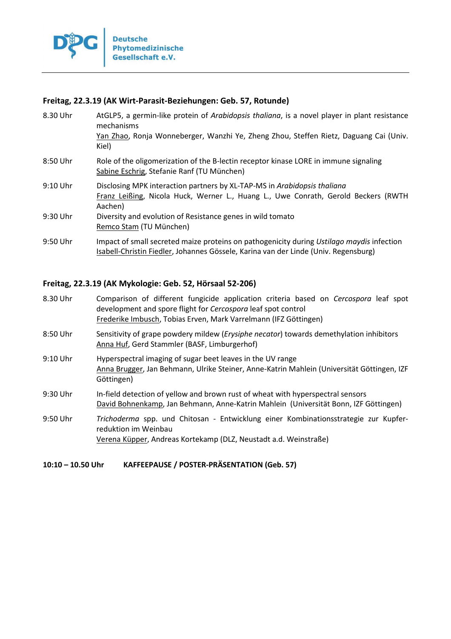

## **Freitag, 22.3.19 (AK Wirt-Parasit-Beziehungen: Geb. 57, Rotunde)**

| 8.30 Uhr   | AtGLP5, a germin-like protein of Arabidopsis thaliana, is a novel player in plant resistance<br>mechanisms<br>Yan Zhao, Ronja Wonneberger, Wanzhi Ye, Zheng Zhou, Steffen Rietz, Daguang Cai (Univ.<br>Kiel) |
|------------|--------------------------------------------------------------------------------------------------------------------------------------------------------------------------------------------------------------|
| $8:50$ Uhr | Role of the oligomerization of the B-lectin receptor kinase LORE in immune signaling<br>Sabine Eschrig, Stefanie Ranf (TU München)                                                                           |
| 9:10 Uhr   | Disclosing MPK interaction partners by XL-TAP-MS in Arabidopsis thaliana<br>Franz Leißing, Nicola Huck, Werner L., Huang L., Uwe Conrath, Gerold Beckers (RWTH<br>Aachen)                                    |
| 9:30 Uhr   | Diversity and evolution of Resistance genes in wild tomato<br>Remco Stam (TU München)                                                                                                                        |
| 9:50 Uhr   | Impact of small secreted maize proteins on pathogenicity during Ustilago maydis infection<br>Isabell-Christin Fiedler, Johannes Gössele, Karina van der Linde (Univ. Regensburg)                             |

# **Freitag, 22.3.19 (AK Mykologie: Geb. 52, Hörsaal 52-206)**

| 8.30 Uhr                           | Comparison of different fungicide application criteria based on Cercospora leaf spot |
|------------------------------------|--------------------------------------------------------------------------------------|
|                                    | development and spore flight for Cercospora leaf spot control                        |
|                                    | Frederike Imbusch, Tobias Erven, Mark Varrelmann (IFZ Göttingen)                     |
| $\sim$ $\sim$ $\sim$ $\sim$ $\sim$ |                                                                                      |

- 8:50 Uhr Sensitivity of grape powdery mildew (*Erysiphe necator*) towards demethylation inhibitors Anna Huf, Gerd Stammler (BASF, Limburgerhof)
- 9:10 Uhr Hyperspectral imaging of sugar beet leaves in the UV range Anna Brugger, Jan Behmann, Ulrike Steiner, Anne-Katrin Mahlein (Universität Göttingen, IZF Göttingen)
- 9:30 Uhr In-field detection of yellow and brown rust of wheat with hyperspectral sensors David Bohnenkamp, Jan Behmann, Anne-Katrin Mahlein (Universität Bonn, IZF Göttingen)
- 9:50 Uhr *Trichoderma* spp. und Chitosan Entwicklung einer Kombinationsstrategie zur Kupferreduktion im Weinbau Verena Küpper, Andreas Kortekamp (DLZ, Neustadt a.d. Weinstraße)

**10:10 – 10.50 Uhr KAFFEEPAUSE / POSTER-PRÄSENTATION (Geb. 57)**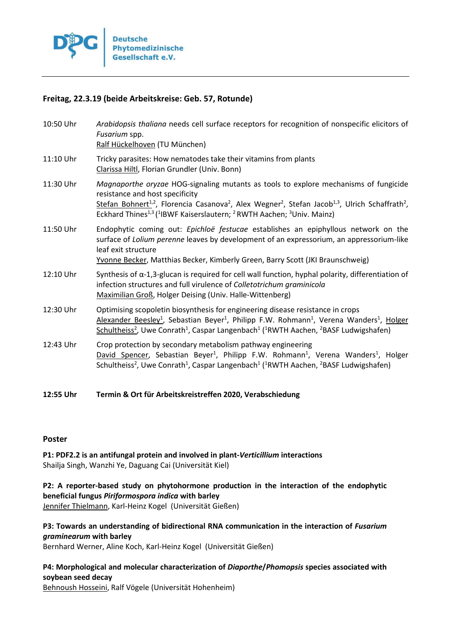

# **Freitag, 22.3.19 (beide Arbeitskreise: Geb. 57, Rotunde)**

| 10:50 Uhr | Arabidopsis thaliana needs cell surface receptors for recognition of nonspecific elicitors of<br>Fusarium spp.<br>Ralf Hückelhoven (TU München)                                                                                                                                                                                                                                                                 |
|-----------|-----------------------------------------------------------------------------------------------------------------------------------------------------------------------------------------------------------------------------------------------------------------------------------------------------------------------------------------------------------------------------------------------------------------|
| 11:10 Uhr | Tricky parasites: How nematodes take their vitamins from plants<br>Clarissa Hiltl, Florian Grundler (Univ. Bonn)                                                                                                                                                                                                                                                                                                |
| 11:30 Uhr | Magnaporthe oryzae HOG-signaling mutants as tools to explore mechanisms of fungicide<br>resistance and host specificity<br>Stefan Bohnert <sup>1,2</sup> , Florencia Casanova <sup>2</sup> , Alex Wegner <sup>2</sup> , Stefan Jacob <sup>1,3</sup> , Ulrich Schaffrath <sup>2</sup> ,<br>Eckhard Thines <sup>1,3</sup> ( <sup>1</sup> IBWF Kaiserslautern; <sup>2</sup> RWTH Aachen; <sup>3</sup> Univ. Mainz) |
| 11:50 Uhr | Endophytic coming out: Epichloë festucae establishes an epiphyllous network on the<br>surface of Lolium perenne leaves by development of an expressorium, an appressorium-like<br>leaf exit structure<br>Yvonne Becker, Matthias Becker, Kimberly Green, Barry Scott (JKI Braunschweig)                                                                                                                         |
| 12:10 Uhr | Synthesis of $\alpha$ -1,3-glucan is required for cell wall function, hyphal polarity, differentiation of<br>infection structures and full virulence of Colletotrichum graminicola<br>Maximilian Groß, Holger Deising (Univ. Halle-Wittenberg)                                                                                                                                                                  |
| 12:30 Uhr | Optimising scopoletin biosynthesis for engineering disease resistance in crops<br>Alexander Beesley <sup>1</sup> , Sebastian Beyer <sup>1</sup> , Philipp F.W. Rohmann <sup>1</sup> , Verena Wanders <sup>1</sup> , Holger<br>Schultheiss <sup>2</sup> , Uwe Conrath <sup>1</sup> , Caspar Langenbach <sup>1</sup> ( <sup>1</sup> RWTH Aachen, <sup>2</sup> BASF Ludwigshafen)                                  |
| 12:43 Uhr | Crop protection by secondary metabolism pathway engineering<br>David Spencer, Sebastian Beyer <sup>1</sup> , Philipp F.W. Rohmann <sup>1</sup> , Verena Wanders <sup>1</sup> , Holger<br>Schultheiss <sup>2</sup> , Uwe Conrath <sup>1</sup> , Caspar Langenbach <sup>1</sup> ( <sup>1</sup> RWTH Aachen, <sup>2</sup> BASF Ludwigshafen)                                                                       |

## **12:55 Uhr Termin & Ort für Arbeitskreistreffen 2020, Verabschiedung**

#### **Poster**

**P1: PDF2.2 is an antifungal protein and involved in plant-***Verticillium* **interactions**  Shailja Singh, Wanzhi Ye, Daguang Cai (Universität Kiel)

**P2: A reporter-based study on phytohormone production in the interaction of the endophytic beneficial fungus** *Piriformospora indica* **with barley** 

Jennifer Thielmann, Karl-Heinz Kogel (Universität Gießen)

**P3: Towards an understanding of bidirectional RNA communication in the interaction of** *Fusarium graminearum* **with barley** 

Bernhard Werner, Aline Koch, Karl-Heinz Kogel (Universität Gießen)

# **P4: Morphological and molecular characterization of** *Diaporthe***/***Phomopsis* **species associated with soybean seed decay**

Behnoush Hosseini, Ralf Vögele (Universität Hohenheim)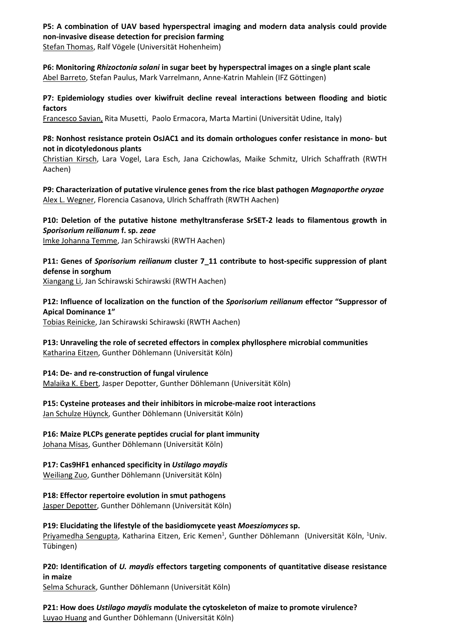## **P5: A combination of UAV based hyperspectral imaging and modern data analysis could provide non-invasive disease detection for precision farming**

Stefan Thomas, Ralf Vögele (Universität Hohenheim)

**P6: Monitoring** *Rhizoctonia solani* **in sugar beet by hyperspectral images on a single plant scale**  Abel Barreto, Stefan Paulus, Mark Varrelmann, Anne-Katrin Mahlein (IFZ Göttingen)

**P7: Epidemiology studies over kiwifruit decline reveal interactions between flooding and biotic factors** 

Francesco Savian, Rita Musetti, Paolo Ermacora, Marta Martini (Universität Udine, Italy)

## **P8: Nonhost resistance protein OsJAC1 and its domain orthologues confer resistance in mono- but not in dicotyledonous plants**

Christian Kirsch, Lara Vogel, Lara Esch, Jana Czichowlas, Maike Schmitz, Ulrich Schaffrath (RWTH Aachen)

**P9: Characterization of putative virulence genes from the rice blast pathogen** *Magnaporthe oryzae* Alex L. Wegner, Florencia Casanova, Ulrich Schaffrath (RWTH Aachen)

**P10: Deletion of the putative histone methyltransferase SrSET-2 leads to filamentous growth in**  *Sporisorium reilianum* **f. sp.** *zeae* Imke Johanna Temme, Jan Schirawski (RWTH Aachen)

**P11: Genes of** *Sporisorium reilianum* **cluster 7\_11 contribute to host-specific suppression of plant defense in sorghum** 

Xiangang Li, Jan Schirawski Schirawski (RWTH Aachen)

**P12: Influence of localization on the function of the** *Sporisorium reilianum* **effector "Suppressor of Apical Dominance 1"** 

Tobias Reinicke, Jan Schirawski Schirawski (RWTH Aachen)

**P13: Unraveling the role of secreted effectors in complex phyllosphere microbial communities**  Katharina Eitzen, Gunther Döhlemann (Universität Köln)

### **P14: De- and re-construction of fungal virulence**

Malaika K. Ebert, Jasper Depotter, Gunther Döhlemann (Universität Köln)

**P15: Cysteine proteases and their inhibitors in microbe-maize root interactions**  Jan Schulze Hüynck, Gunther Döhlemann (Universität Köln)

**P16: Maize PLCPs generate peptides crucial for plant immunity** 

Johana Misas, Gunther Döhlemann (Universität Köln)

### **P17: Cas9HF1 enhanced specificity in** *Ustilago maydis*

Weiliang Zuo, Gunther Döhlemann (Universität Köln)

**P18: Effector repertoire evolution in smut pathogens** 

Jasper Depotter, Gunther Döhlemann (Universität Köln)

**P19: Elucidating the lifestyle of the basidiomycete yeast** *Moesziomyces* **sp.**  Priyamedha Sengupta, Katharina Eitzen, Eric Kemen<sup>1</sup>, Gunther Döhlemann (Universität Köln, <sup>1</sup>Univ. Tübingen)

**P20: Identification of** *U. maydis* **effectors targeting components of quantitative disease resistance in maize** 

Selma Schurack, Gunther Döhlemann (Universität Köln)

**P21: How does** *Ustilago maydis* **modulate the cytoskeleton of maize to promote virulence?**  Luyao Huang and Gunther Döhlemann (Universität Köln)